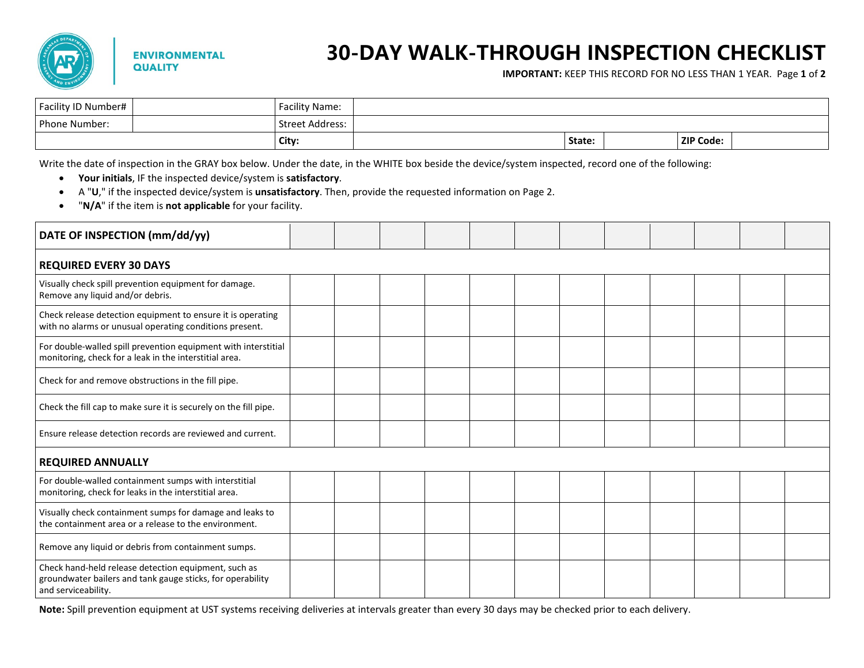

## **30-DAY WALK-THROUGH INSPECTION CHECKLIST**

**IMPORTANT:** KEEP THIS RECORD FOR NO LESS THAN 1 YEAR. Page **1** of **2** 

| Facility ID Number# | <b>Facility Name:</b> |        |                  |  |
|---------------------|-----------------------|--------|------------------|--|
| Phone Number:       | Street Address:       |        |                  |  |
|                     | City:                 | State: | <b>ZIP Code:</b> |  |

Write the date of inspection in the GRAY box below. Under the date, in the WHITE box beside the device/system inspected, record one of the following:

- **Your initials**, IF the inspected device/system is **satisfactory**.
- A "**U**," if the inspected device/system is **unsatisfactory**. Then, provide the requested information on Page 2.
- "**N/A**" if the item is **not applicable** for your facility.

| DATE OF INSPECTION (mm/dd/yy)                                                                                                             |  |  |  |  |  |  |  |  |  |  |
|-------------------------------------------------------------------------------------------------------------------------------------------|--|--|--|--|--|--|--|--|--|--|
| <b>REQUIRED EVERY 30 DAYS</b>                                                                                                             |  |  |  |  |  |  |  |  |  |  |
| Visually check spill prevention equipment for damage.<br>Remove any liquid and/or debris.                                                 |  |  |  |  |  |  |  |  |  |  |
| Check release detection equipment to ensure it is operating<br>with no alarms or unusual operating conditions present.                    |  |  |  |  |  |  |  |  |  |  |
| For double-walled spill prevention equipment with interstitial<br>monitoring, check for a leak in the interstitial area.                  |  |  |  |  |  |  |  |  |  |  |
| Check for and remove obstructions in the fill pipe.                                                                                       |  |  |  |  |  |  |  |  |  |  |
| Check the fill cap to make sure it is securely on the fill pipe.                                                                          |  |  |  |  |  |  |  |  |  |  |
| Ensure release detection records are reviewed and current.                                                                                |  |  |  |  |  |  |  |  |  |  |
| <b>REQUIRED ANNUALLY</b>                                                                                                                  |  |  |  |  |  |  |  |  |  |  |
| For double-walled containment sumps with interstitial<br>monitoring, check for leaks in the interstitial area.                            |  |  |  |  |  |  |  |  |  |  |
| Visually check containment sumps for damage and leaks to<br>the containment area or a release to the environment.                         |  |  |  |  |  |  |  |  |  |  |
| Remove any liquid or debris from containment sumps.                                                                                       |  |  |  |  |  |  |  |  |  |  |
| Check hand-held release detection equipment, such as<br>groundwater bailers and tank gauge sticks, for operability<br>and serviceability. |  |  |  |  |  |  |  |  |  |  |

**Note:** Spill prevention equipment at UST systems receiving deliveries at intervals greater than every 30 days may be checked prior to each delivery.